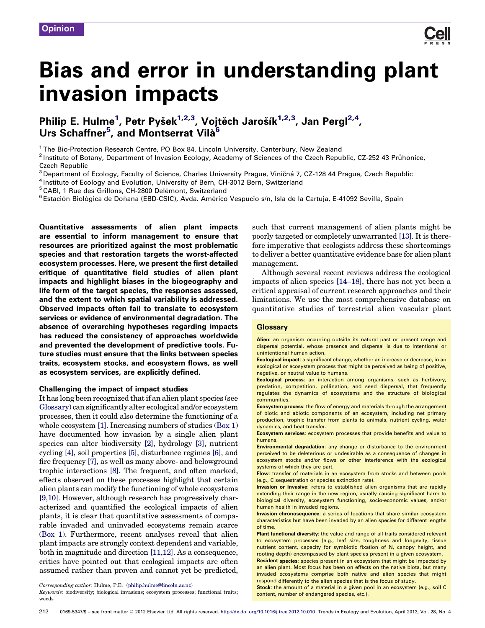# Bias and error in understanding plant invasion impacts

Philip E. Hulme<sup>1</sup>, Petr Pyšek<sup>1,2,3</sup>, Vojtěch Jarošík<sup>1,2,3</sup>, Jan Pergl<sup>2,4</sup>, Urs Schaffner<sup>5</sup>, and Montserrat Vilà<sup>6</sup>

<sup>1</sup> The Bio-Protection Research Centre, PO Box 84, Lincoln University, Canterbury, New Zealand  $2$  Institute of Botany, Department of Invasion Ecology, Academy of Sciences of the Czech Republic, CZ-252 43 Průhonice, Czech Republic<br><sup>3</sup> Department of Ecology, Faculty of Science, Charles University Prague, Viničná 7, CZ-128 44 Prague, Czech Republic<br><sup>4</sup> Institute of Ecology and Evolution, University of Bern, CH-3012 Bern, Switzerland<br><sup>5</sup>

Quantitative assessments of alien plant impacts are essential to inform management to ensure that resources are prioritized against the most problematic species and that restoration targets the worst-affected ecosystem processes. Here, we present the first detailed critique of quantitative field studies of alien plant impacts and highlight biases in the biogeography and life form of the target species, the responses assessed, and the extent to which spatial variability is addressed. Observed impacts often fail to translate to ecosystem services or evidence of environmental degradation. The absence of overarching hypotheses regarding impacts has reduced the consistency of approaches worldwide and prevented the development of predictive tools. Future studies must ensure that the links between species traits, ecosystem stocks, and ecosystem flows, as well as ecosystem services, are explicitly defined.

### Challenging the impact of impact studies

It has long been recognized thatif an alien plant species (see Glossary) can significantly alter ecological and/or ecosystem processes, then it could also determine the functioning of a whole ecosystem [\[1\]](#page-5-0). Increasing numbers of studies ([Box](#page-1-0) 1) have documented how invasion by a single alien plant species can alter biodiversity [\[2\],](#page-5-0) hydrology [\[3\]](#page-6-0), nutrient cycling [\[4\],](#page-6-0) soil properties [\[5\]](#page-6-0), disturbance regimes [\[6\]](#page-6-0), and fire frequency [\[7\],](#page-6-0) as well as many above- and belowground trophic interactions [\[8\]](#page-6-0). The frequent, and often marked, effects observed on these processes highlight that certain alien plants can modify the functioning of whole ecosystems [\[9,10\].](#page-6-0) However, although research has progressively characterized and quantified the ecological impacts of alien plants, it is clear that quantitative assessments of comparable invaded and uninvaded ecosystems remain scarce ([Box](#page-1-0) 1). Furthermore, recent analyses reveal that alien plant impacts are strongly context dependent and variable, both in magnitude and direction [\[11,12\].](#page-6-0) As a consequence, critics have pointed out that ecological impacts are often assumed rather than proven and cannot yet be predicted, such that current management of alien plants might be poorly targeted or completely unwarranted [\[13\]](#page-6-0). It is therefore imperative that ecologists address these shortcomings to deliver a better quantitative evidence base for alien plant management.

Although several recent reviews address the ecological impacts of alien species [\[14–18\]](#page-6-0), there has not yet been a critical appraisal of current research approaches and their limitations. We use the most comprehensive database on quantitative studies of terrestrial alien vascular plant

#### **Glossary**

Alien: an organism occurring outside its natural past or present range and dispersal potential, whose presence and dispersal is due to intentional or unintentional human action.

Ecological impact: a significant change, whether an increase or decrease, in an ecological or ecosystem process that might be perceived as being of positive, negative, or neutral value to humans.

Ecosystem process: the flow of energy and materials through the arrangement of biotic and abiotic components of an ecosystem, including net primary production, trophic transfer from plants to animals, nutrient cycling, water dynamics, and heat transfer.

Ecosystem services: ecosystem processes that provide benefits and value to humans.

Environmental degradation: any change or disturbance to the environment perceived to be deleterious or undesirable as a consequence of changes in ecosystem stocks and/or flows or other interference with the ecological systems of which they are part.

Flow: transfer of materials in an ecosystem from stocks and between pools (e.g., C sequestration or species extinction rate).

Invasion or invasive: refers to established alien organisms that are rapidly extending their range in the new region, usually causing significant harm to biological diversity, ecosystem functioning, socio-economic values, and/or human health in invaded regions.

Invasion chronosequence: a series of locations that share similar ecosystem characteristics but have been invaded by an alien species for different lengths of time.

Plant functional diversity: the value and range of all traits considered relevant to ecosystem processes (e.g., leaf size, toughness and longevity, tissue nutrient content, capacity for symbiotic fixation of N, canopy height, and rooting depth) encompassed by plant species present in a given ecosystem.

Resident species: species present in an ecosystem that might be impacted by an alien plant. Most focus has been on effects on the native biota, but many invaded ecosystems comprise both native and alien species that might respond differently to the alien species that is the focus of study.

Stock: the amount of a material in a given pool in an ecosystem (e.g., soil C content, number of endangered species, etc.).

Ecological process: an interaction among organisms, such as herbivory, predation, competition, pollination, and seed dispersal, that frequently regulates the dynamics of ecosystems and the structure of biological communities.

Corresponding author: Hulme, P.E. ([philip.hulme@lincoln.ac.nz](mailto:philip.hulme@lincoln.ac.nz))

Keywords: biodiversity; biological invasions; ecosystem processes; functional traits; weeds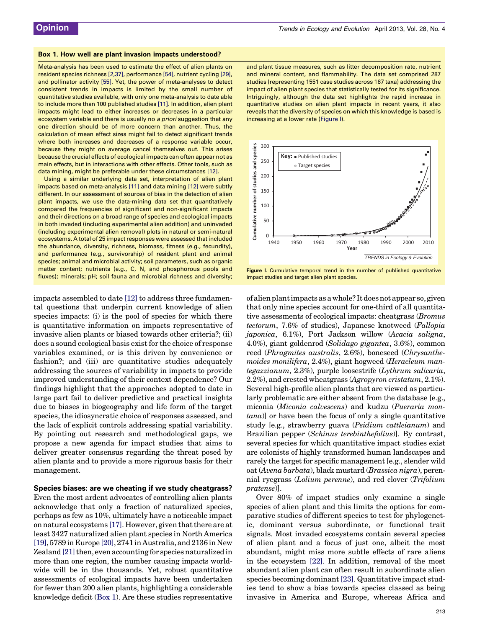#### <span id="page-1-0"></span>Box 1. How well are plant invasion impacts understood?

Meta-analysis has been used to estimate the effect of alien plants on resident species richness [\[2,37\],](#page-5-0) performance [\[54\]](#page-6-0), nutrient cycling [\[29\]](#page-6-0), and pollinator activity [\[55\].](#page-6-0) Yet, the power of meta-analyses to detect consistent trends in impacts is limited by the small number of quantitative studies available, with only one meta-analysis to date able to include more than 100 published studies [\[11\]](#page-6-0). In addition, alien plant impacts might lead to either increases or decreases in a particular ecosystem variable and there is usually no a priori suggestion that any one direction should be of more concern than another. Thus, the calculation of mean effect sizes might fail to detect significant trends where both increases and decreases of a response variable occur, because they might on average cancel themselves out. This arises because the crucial effects of ecological impacts can often appear not as main effects, but in interactions with other effects. Other tools, such as data mining, might be preferable under these circumstances [\[12\].](#page-6-0)

Using a similar underlying data set, interpretation of alien plant impacts based on meta-analysis [\[11\]](#page-6-0) and data mining [\[12\]](#page-6-0) were subtly different. In our assessment of sources of bias in the detection of alien plant impacts, we use the data-mining data set that quantitatively compared the frequencies of significant and non-significant impacts and their directions on a broad range of species and ecological impacts in both invaded (including experimental alien addition) and uninvaded (including experimental alien removal) plots in natural or semi-natural ecosystems. A total of 25 impact responses were assessed that included the abundance, diversity, richness, biomass, fitness (e.g., fecundity), and performance (e.g., survivorship) of resident plant and animal species; animal and microbial activity; soil parameters, such as organic matter content; nutrients (e.g., C, N, and phosphorous pools and fluxes); minerals; pH; soil fauna and microbial richness and diversity;

impacts assembled to date [\[12\]](#page-6-0) to address three fundamental questions that underpin current knowledge of alien species impacts: (i) is the pool of species for which there is quantitative information on impacts representative of invasive alien plants or biased towards other criteria?; (ii) does a sound ecological basis exist for the choice of response variables examined, or is this driven by convenience or fashion?; and (iii) are quantitative studies adequately addressing the sources of variability in impacts to provide improved understanding of their context dependence? Our findings highlight that the approaches adopted to date in large part fail to deliver predictive and practical insights due to biases in biogeography and life form of the target species, the idiosyncratic choice of responses assessed, and the lack of explicit controls addressing spatial variability. By pointing out research and methodological gaps, we propose a new agenda for impact studies that aims to deliver greater consensus regarding the threat posed by alien plants and to provide a more rigorous basis for their management.

Species biases: are we cheating if we study cheatgrass? Even the most ardent advocates of controlling alien plants acknowledge that only a fraction of naturalized species, perhaps as few as 10%, ultimately have a noticeable impact on natural ecosystems [\[17\]](#page-6-0). However, given that there are at least 3427 naturalized alien plant species in North America [\[19\],](#page-6-0) 5789 in Europe [\[20\],](#page-6-0) 2741 in Australia, and 2136 in New Zealand [\[21\]](#page-6-0) then, even accounting for species naturalized in more than one region, the number causing impacts worldwide will be in the thousands. Yet, robust quantitative assessments of ecological impacts have been undertaken for fewer than 200 alien plants, highlighting a considerable knowledge deficit (Box 1). Are these studies representative

and plant tissue measures, such as litter decomposition rate, nutrient and mineral content, and flammability. The data set comprised 287 studies (representing 1551 case studies across 167 taxa) addressing the impact of alien plant species that statistically tested for its significance. Intriguingly, although the data set highlights the rapid increase in quantitative studies on alien plant impacts in recent years, it also reveals that the diversity of species on which this knowledge is based is increasing at a lower rate (Figure I).



Figure I. Cumulative temporal trend in the number of published quantitative impact studies and target alien plant species.

of alien plant impacts as a whole? It does not appear so, given that only nine species account for one-third of all quantitative assessments of ecological impacts: cheatgrass (Bromus tectorum, 7.6% of studies), Japanese knotweed (Fallopia japonica, 6.1%), Port Jackson willow (Acacia saligna, 4.0%), giant goldenrod (Solidago gigantea, 3.6%), common reed (Phragmites australis, 2.6%), boneseed (Chrysanthemoides monilifera, 2.4%), giant hogweed (Heracleum mantegazzianum, 2.3%), purple loosestrife (Lythrum salicaria, 2.2%), and crested wheatgrass (Agropyron cristatum, 2.1%). Several high-profile alien plants that are viewed as particularly problematic are either absent from the database [e.g., miconia (Miconia calvescens) and kudzu (Pueraria montana)] or have been the focus of only a single quantitative study [e.g., strawberry guava (Psidium cattleianum) and Brazilian pepper (Schinus terebinthefolius)]. By contrast, several species for which quantitative impact studies exist are colonists of highly transformed human landscapes and rarely the target for specific management [e.g., slender wild oat (Avena barbata), black mustard (Brassica nigra), perennial ryegrass (Lolium perenne), and red clover (Trifolium pratense)].

Over 80% of impact studies only examine a single species of alien plant and this limits the options for comparative studies of different species to test for phylogenetic, dominant versus subordinate, or functional trait signals. Most invaded ecosystems contain several species of alien plant and a focus of just one, albeit the most abundant, might miss more subtle effects of rare aliens in the ecosystem [\[22\].](#page-6-0) In addition, removal of the most abundant alien plant can often result in subordinate alien species becoming dominant [\[23\].](#page-6-0) Quantitative impact studies tend to show a bias towards species classed as being invasive in America and Europe, whereas Africa and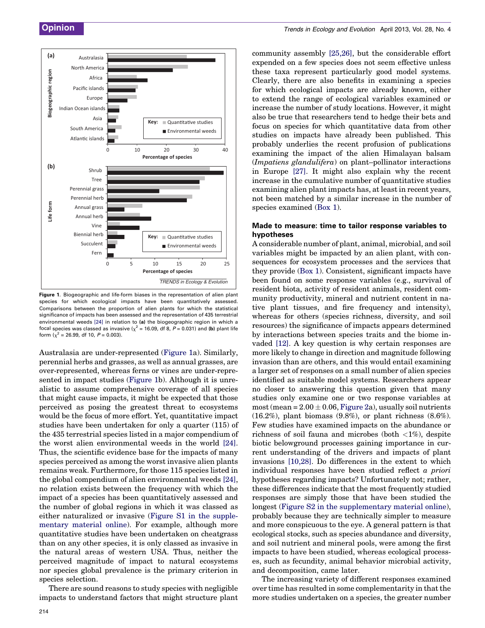

Figure 1. Biogeographic and life-form biases in the representation of alien plant species for which ecological impacts have been quantitatively assessed. Comparisons between the proportion of alien plants for which the statistical significance of impacts has been assessed and the representation of 435 terrestrial environmental weeds [\[24\]](#page-6-0) in relation to (a) the biogeographic region in which a focal species was classed as invasive ( $\chi^2$  = 16.09, df 8, P = 0.031) and (b) plant life form  $(x^2 = 26.99$ , df 10,  $P = 0.003$ ).

Australasia are under-represented (Figure 1a). Similarly, perennial herbs and grasses, as well as annual grasses, are over-represented, whereas ferns or vines are under-represented in impact studies (Figure 1b). Although it is unrealistic to assume comprehensive coverage of all species that might cause impacts, it might be expected that those perceived as posing the greatest threat to ecosystems would be the focus of more effort. Yet, quantitative impact studies have been undertaken for only a quarter (115) of the 435 terrestrial species listed in a major compendium of the worst alien environmental weeds in the world [\[24\]](#page-6-0). Thus, the scientific evidence base for the impacts of many species perceived as among the worst invasive alien plants remains weak. Furthermore, for those 115 species listed in the global compendium of alien environmental weeds [\[24\]](#page-6-0), no relation exists between the frequency with which the impact of a species has been quantitatively assessed and the number of global regions in which it was classed as either naturalized or invasive (Figure S1 in the supplementary material online). For example, although more quantitative studies have been undertaken on cheatgrass than on any other species, it is only classed as invasive in the natural areas of western USA. Thus, neither the perceived magnitude of impact to natural ecosystems nor species global prevalence is the primary criterion in species selection.

There are sound reasons to study species with negligible impacts to understand factors that might structure plant community assembly [\[25,26\],](#page-6-0) but the considerable effort expended on a few species does not seem effective unless these taxa represent particularly good model systems. Clearly, there are also benefits in examining a species for which ecological impacts are already known, either to extend the range of ecological variables examined or increase the number of study locations. However, it might also be true that researchers tend to hedge their bets and focus on species for which quantitative data from other studies on impacts have already been published. This probably underlies the recent profusion of publications examining the impact of the alien Himalayan balsam (Impatiens glandulifera) on plant–pollinator interactions in Europe [\[27\]](#page-6-0). It might also explain why the recent increase in the cumulative number of quantitative studies examining alien plant impacts has, at least in recent years, not been matched by a similar increase in the number of species examined ([Box](#page-1-0) 1).

# Made to measure: time to tailor response variables to hypotheses

A considerable number of plant, animal, microbial, and soil variables might be impacted by an alien plant, with consequences for ecosystem processes and the services that they provide ([Box](#page-1-0) 1). Consistent, significant impacts have been found on some response variables (e.g., survival of resident biota, activity of resident animals, resident community productivity, mineral and nutrient content in native plant tissues, and fire frequency and intensity), whereas for others (species richness, diversity, and soil resources) the significance of impacts appears determined by interactions between species traits and the biome invaded [\[12\].](#page-6-0) A key question is why certain responses are more likely to change in direction and magnitude following invasion than are others, and this would entail examining a larger set of responses on a small number of alien species identified as suitable model systems. Researchers appear no closer to answering this question given that many studies only examine one or two response variables at  $most (mean = 2.00 \pm 0.06, Figure 2a)$  $most (mean = 2.00 \pm 0.06, Figure 2a)$  $most (mean = 2.00 \pm 0.06, Figure 2a)$ , usually soil nutrients (16.2%), plant biomass (9.8%), or plant richness (8.6%). Few studies have examined impacts on the abundance or richness of soil fauna and microbes (both  $\langle 1\% \rangle$ , despite biotic belowground processes gaining importance in current understanding of the drivers and impacts of plant invasions [\[10,28\]](#page-6-0). Do differences in the extent to which individual responses have been studied reflect a priori hypotheses regarding impacts? Unfortunately not; rather, these differences indicate that the most frequently studied responses are simply those that have been studied the longest (Figure S2 in the supplementary material online), probably because they are technically simpler to measure and more conspicuous to the eye. A general pattern is that ecological stocks, such as species abundance and diversity, and soil nutrient and mineral pools, were among the first impacts to have been studied, whereas ecological processes, such as fecundity, animal behavior microbial activity, and decomposition, came later.

The increasing variety of different responses examined over time has resulted in some complementarity in that the more studies undertaken on a species, the greater number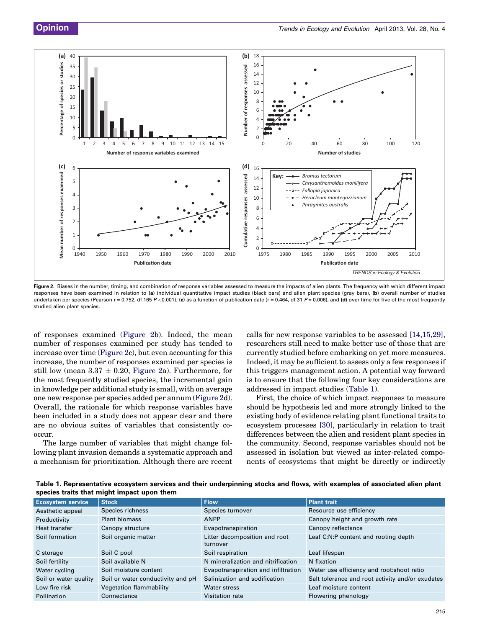<span id="page-3-0"></span>

Figure 2. Biases in the number, timing, and combination of response variables assessed to measure the impacts of alien plants. The frequency with which different impact responses have been examined in relation to (a) individual quantitative impact studies (black bars) and alien plant species (gray bars), (b) overall number of studies undertaken per species (Pearson r = 0.752, df 165 P <0.001), (c) as a function of publication date (r = 0.464, df 31 P = 0.006), and (d) over time for five of the most frequently studied alien plant species.

of responses examined (Figure 2b). Indeed, the mean number of responses examined per study has tended to increase over time (Figure 2c), but even accounting for this increase, the number of responses examined per species is still low (mean  $3.37\pm0.20,$  Figure 2a). Furthermore, for the most frequently studied species, the incremental gain in knowledge per additional study is small, with on average one new response per species added per annum (Figure 2d). Overall, the rationale for which response variables have been included in a study does not appear clear and there are no obvious suites of variables that consistently cooccur.

The large number of variables that might change following plant invasion demands a systematic approach and a mechanism for prioritization. Although there are recent calls for new response variables to be assessed [\[14,15,29\]](#page-6-0), researchers still need to make better use of those that are currently studied before embarking on yet more measures. Indeed, it may be sufficient to assess only a few responses if this triggers management action. A potential way forward is to ensure that the following four key considerations are addressed in impact studies (Table 1).

First, the choice of which impact responses to measure should be hypothesis led and more strongly linked to the existing body of evidence relating plant functional traits to ecosystem processes [\[30\]](#page-6-0), particularly in relation to trait differences between the alien and resident plant species in the community. Second, response variables should not be assessed in isolation but viewed as inter-related components of ecosystems that might be directly or indirectly

Table 1. Representative ecosystem services and their underpinning stocks and flows, with examples of associated alien plant species traits that might impact upon them

| <b>Ecosystem service</b> | <b>Stock</b>                      | <b>Flow</b>                               | <b>Plant trait</b>                               |
|--------------------------|-----------------------------------|-------------------------------------------|--------------------------------------------------|
| Aesthetic appeal         | Species richness                  | Species turnover                          | Resource use efficiency                          |
| Productivity             | <b>Plant biomass</b>              | <b>ANPP</b>                               | Canopy height and growth rate                    |
| Heat transfer            | Canopy structure                  | Evapotranspiration                        | Canopy reflectance                               |
| Soil formation           | Soil organic matter               | Litter decomposition and root<br>turnover | Leaf C:N:P content and rooting depth             |
| C storage                | Soil C pool                       | Soil respiration                          | Leaf lifespan                                    |
| Soil fertility           | Soil available N                  | N mineralization and nitrification        | N fixation                                       |
| Water cycling            | Soil moisture content             | Evapotranspiration and infiltration       | Water use efficiency and root: shoot ratio       |
| Soil or water quality    | Soil or water conductivity and pH | Salinization and sodification             | Salt tolerance and root activity and/or exudates |
| Low fire risk            | Vegetation flammability           | <b>Water stress</b>                       | Leaf moisture content                            |
| Pollination              | Connectance                       | <b>Visitation rate</b>                    | Flowering phenology                              |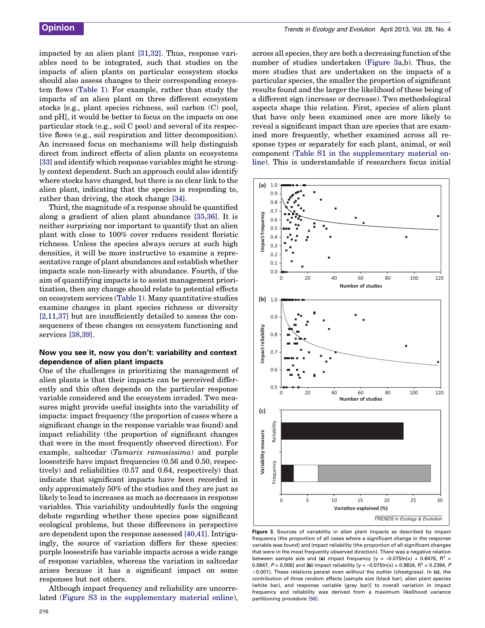<span id="page-4-0"></span>impacted by an alien plant [\[31,32\].](#page-6-0) Thus, response variables need to be integrated, such that studies on the impacts of alien plants on particular ecosystem stocks should also assess changes to their corresponding ecosystem flows ([Table](#page-3-0) 1). For example, rather than study the impacts of an alien plant on three different ecosystem stocks [e.g., plant species richness, soil carbon (C) pool, and pH], it would be better to focus on the impacts on one particular stock (e.g., soil C pool) and several of its respective flows (e.g., soil respiration and litter decomposition). An increased focus on mechanisms will help distinguish direct from indirect effects of alien plants on ecosystems [\[33\]](#page-6-0) and identify which response variables might be strongly context dependent. Such an approach could also identify where stocks have changed, but there is no clear link to the alien plant, indicating that the species is responding to, rather than driving, the stock change [\[34\].](#page-6-0)

Third, the magnitude of a response should be quantified along a gradient of alien plant abundance [\[35,36\].](#page-6-0) It is neither surprising nor important to quantify that an alien plant with close to 100% cover reduces resident floristic richness. Unless the species always occurs at such high densities, it will be more instructive to examine a representative range of plant abundances and establish whether impacts scale non-linearly with abundance. Fourth, if the aim of quantifying impacts is to assist management prioritization, then any change should relate to potential effects on ecosystem services ([Table](#page-3-0) 1). Many quantitative studies examine changes in plant species richness or diversity [\[2,11,37\]](#page-5-0) but are insufficiently detailed to assess the consequences of these changes on ecosystem functioning and services [\[38,39\].](#page-6-0)

# Now you see it, now you don't: variability and context dependence of alien plant impacts

One of the challenges in prioritizing the management of alien plants is that their impacts can be perceived differently and this often depends on the particular response variable considered and the ecosystem invaded. Two measures might provide useful insights into the variability of impacts: impact frequency (the proportion of cases where a significant change in the response variable was found) and impact reliability (the proportion of significant changes that were in the most frequently observed direction). For example, saltcedar (Tamarix ramosissima) and purple loosestrife have impact frequencies (0.56 and 0.50, respectively) and reliabilities (0.57 and 0.64, respectively) that indicate that significant impacts have been recorded in only approximately 50% of the studies and they are just as likely to lead to increases as much as decreases in response variables. This variability undoubtedly fuels the ongoing debate regarding whether these species pose significant ecological problems, but these differences in perspective are dependent upon the response assessed [\[40,41\]](#page-6-0). Intriguingly, the source of variation differs for these species: purple loosestrife has variable impacts across a wide range of response variables, whereas the variation in saltcedar arises because it has a significant impact on some responses but not others.

Although impact frequency and reliability are uncorrelated (Figure S3 in the supplementary material online), across all species, they are both a decreasing function of the number of studies undertaken (Figure 3a,b). Thus, the more studies that are undertaken on the impacts of a particular species, the smaller the proportion of significant results found and the larger the likelihood of these being of a different sign (increase or decrease). Two methodological aspects shape this relation. First, species of alien plant that have only been examined once are more likely to reveal a significant impact than are species that are examined more frequently, whether examined across all response types or separately for each plant, animal, or soil component (Table S1 in the supplementary material online). This is understandable if researchers focus initial



Figure 3. Sources of variability in alien plant impacts as described by impact frequency (the proportion of all cases where a significant change in the response variable was found) and impact reliability (the proportion of all significant changes that were in the most frequently observed direction). There was a negative relation between sample size and (a) impact frequency  $[y = -0.075\text{ln}(x) + 0.8476, R^2 =$ 0.0847, P = 0.006] and (b) impact reliability  $[y = -0.075\ln(x) + 0.9834, R^2 = 0.2394, P$  $\leq$  0.001]. These relations persist even without the outlier (cheatgrass). In (c), the contribution of three random effects [sample size (black bar), alien plant species (white bar), and response variable (gray bar)] to overall variation in impact frequency and reliability was derived from a maximum likelihood variance partitioning procedure [\[56\]](#page-6-0).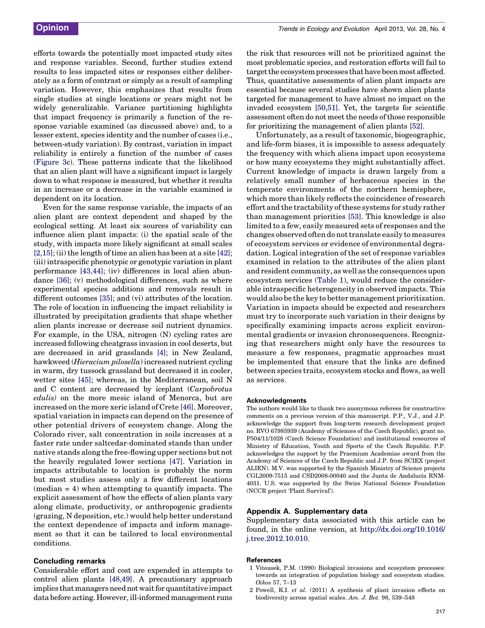<span id="page-5-0"></span>efforts towards the potentially most impacted study sites and response variables. Second, further studies extend results to less impacted sites or responses either deliberately as a form of contrast or simply as a result of sampling variation. However, this emphasizes that results from single studies at single locations or years might not be widely generalizable. Variance partitioning highlights that impact frequency is primarily a function of the response variable examined (as discussed above) and, to a lesser extent, species identity and the number of cases (i.e., between-study variation). By contrast, variation in impact reliability is entirely a function of the number of cases ([Figure](#page-4-0) 3c). These patterns indicate that the likelihood that an alien plant will have a significant impact is largely down to what response is measured, but whether it results in an increase or a decrease in the variable examined is dependent on its location.

Even for the same response variable, the impacts of an alien plant are context dependent and shaped by the ecological setting. At least six sources of variability can influence alien plant impacts: (i) the spatial scale of the study, with impacts more likely significant at small scales  $[2,15]$ ; (ii) the length of time an alien has been at a site  $[42]$ ; (iii) intraspecific phenotypic or genotypic variation in plant performance [\[43,44\];](#page-6-0) (iv) differences in local alien abundance [\[36\];](#page-6-0) (v) methodological differences, such as where experimental species additions and removals result in different outcomes [\[35\]](#page-6-0); and (vi) attributes of the location. The role of location in influencing the impact reliability is illustrated by precipitation gradients that shape whether alien plants increase or decrease soil nutrient dynamics. For example, in the USA, nitrogen (N) cycling rates are increased following cheatgrass invasion in cool deserts, but are decreased in arid grasslands [\[4\];](#page-6-0) in New Zealand, hawkweed (*Hieracium pilosella*) increased nutrient cycling in warm, dry tussock grassland but decreased it in cooler, wetter sites [\[45\]](#page-6-0); whereas, in the Mediterranean, soil N and C content are decreased by iceplant (Carpobrotus edulis) on the more mesic island of Menorca, but are increased on the more xeric island of Crete [\[46\].](#page-6-0) Moreover, spatial variation in impacts can depend on the presence of other potential drivers of ecosystem change. Along the Colorado river, salt concentration in soils increases at a faster rate under saltcedar-dominated stands than under native stands along the free-flowing upper sections but not the heavily regulated lower sections [\[47\].](#page-6-0) Variation in impacts attributable to location is probably the norm but most studies assess only a few different locations  $(median = 4)$  when attempting to quantify impacts. The explicit assessment of how the effects of alien plants vary along climate, productivity, or anthropogenic gradients (grazing, N deposition, etc.) would help better understand the context dependence of impacts and inform management so that it can be tailored to local environmental conditions.

#### Concluding remarks

Considerable effort and cost are expended in attempts to control alien plants [\[48,49\]](#page-6-0). A precautionary approach implies that managers need not wait for quantitative impact data before acting. However, ill-informed management runs

the risk that resources will not be prioritized against the most problematic species, and restoration efforts will fail to target the ecosystem processes that have been most affected. Thus, quantitative assessments of alien plant impacts are essential because several studies have shown alien plants targeted for management to have almost no impact on the invaded ecosystem [\[50,51\]](#page-6-0). Yet, the targets for scientific assessment often do not meet the needs of those responsible for prioritizing the management of alien plants [\[52\].](#page-6-0)

Unfortunately, as a result of taxonomic, biogeographic, and life-form biases, it is impossible to assess adequately the frequency with which aliens impact upon ecosystems or how many ecosystems they might substantially affect. Current knowledge of impacts is drawn largely from a relatively small number of herbaceous species in the temperate environments of the northern hemisphere, which more than likely reflects the coincidence of research effort and the tractability of these systems for study rather than management priorities [\[53\].](#page-6-0) This knowledge is also limited to a few, easily measured sets of responses and the changes observed often do not translate easily to measures of ecosystem services or evidence of environmental degradation. Logical integration of the set of response variables examined in relation to the attributes of the alien plant and resident community, as well as the consequences upon ecosystem services ([Table](#page-3-0) 1), would reduce the considerable intraspecific heterogeneity in observed impacts. This would also be the key to better management prioritization. Variation in impacts should be expected and researchers must try to incorporate such variation in their designs by specifically examining impacts across explicit environmental gradients or invasion chronosequences. Recognizing that researchers might only have the resources to measure a few responses, pragmatic approaches must be implemented that ensure that the links are defined between species traits, ecosystem stocks and flows, as well as services.

#### Acknowledgments

The authors would like to thank two anonymous referees for constructive comments on a previous version of this manuscript. P.P., V.J., and J.P. acknowledge the support from long-term research development project no. RVO 67985939 (Academy of Sciences of the Czech Republic), grant no. P504/11/1028 (Czech Science Foundation) and institutional resources of Ministry of Education, Youth and Sports of the Czech Republic. P.P. acknowledges the support by the Praemium Academiae award from the Academy of Sciences of the Czech Republic and J.P. from SCIEX (project ALIEN). M.V. was supported by the Spanish Ministry of Science projects  $CGL2009-7515$  and  $CSD2008-00040$  and the Junta de Andalucía RNM-4031. U.S. was supported by the Swiss National Science Foundation (NCCR project 'Plant Survival').

## Appendix A. Supplementary data

Supplementary data associated with this article can be found, in the online version, at [http://dx.doi.org/10.1016/](http://dx.doi.org/10.1016/j.tree.2012.10.010) [j.tree.2012.10.010.](http://dx.doi.org/10.1016/j.tree.2012.10.010)

#### References

- 1 Vitousek, P.M. (1990) Biological invasions and ecosystem processes: towards an integration of population biology and ecosystem studies. Oikos 57, 7–13
- 2 Powell, K.I. et al. (2011) A synthesis of plant invasion effects on biodiversity across spatial scales. Am. J. Bot. 98, 539–548